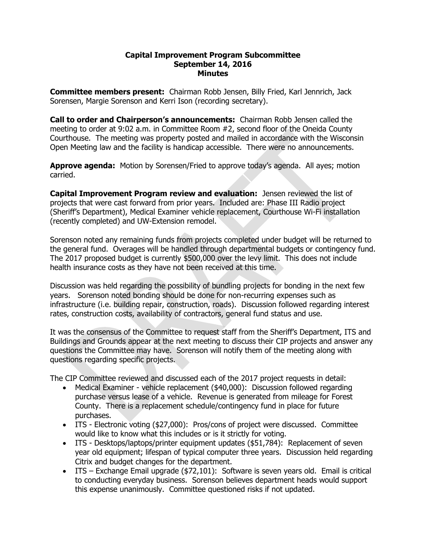## **Capital Improvement Program Subcommittee September 14, 2016 Minutes**

**Committee members present:** Chairman Robb Jensen, Billy Fried, Karl Jennrich, Jack Sorensen, Margie Sorenson and Kerri Ison (recording secretary).

**Call to order and Chairperson's announcements:** Chairman Robb Jensen called the meeting to order at 9:02 a.m. in Committee Room #2, second floor of the Oneida County Courthouse. The meeting was property posted and mailed in accordance with the Wisconsin Open Meeting law and the facility is handicap accessible. There were no announcements.

**Approve agenda:** Motion by Sorensen/Fried to approve today's agenda. All ayes; motion carried.

**Capital Improvement Program review and evaluation:** Jensen reviewed the list of projects that were cast forward from prior years. Included are: Phase III Radio project (Sheriff's Department), Medical Examiner vehicle replacement, Courthouse Wi-Fi installation (recently completed) and UW-Extension remodel.

Sorenson noted any remaining funds from projects completed under budget will be returned to the general fund. Overages will be handled through departmental budgets or contingency fund. The 2017 proposed budget is currently \$500,000 over the levy limit. This does not include health insurance costs as they have not been received at this time.

Discussion was held regarding the possibility of bundling projects for bonding in the next few years. Sorenson noted bonding should be done for non-recurring expenses such as infrastructure (i.e. building repair, construction, roads). Discussion followed regarding interest rates, construction costs, availability of contractors, general fund status and use.

It was the consensus of the Committee to request staff from the Sheriff's Department, ITS and Buildings and Grounds appear at the next meeting to discuss their CIP projects and answer any questions the Committee may have. Sorenson will notify them of the meeting along with questions regarding specific projects.

The CIP Committee reviewed and discussed each of the 2017 project requests in detail:

- Medical Examiner vehicle replacement (\$40,000): Discussion followed regarding purchase versus lease of a vehicle. Revenue is generated from mileage for Forest County. There is a replacement schedule/contingency fund in place for future purchases.
- ITS Electronic voting (\$27,000): Pros/cons of project were discussed. Committee would like to know what this includes or is it strictly for voting.
- ITS Desktops/laptops/printer equipment updates (\$51,784): Replacement of seven year old equipment; lifespan of typical computer three years. Discussion held regarding Citrix and budget changes for the department.
- ITS Exchange Email upgrade (\$72,101): Software is seven years old. Email is critical to conducting everyday business. Sorenson believes department heads would support this expense unanimously. Committee questioned risks if not updated.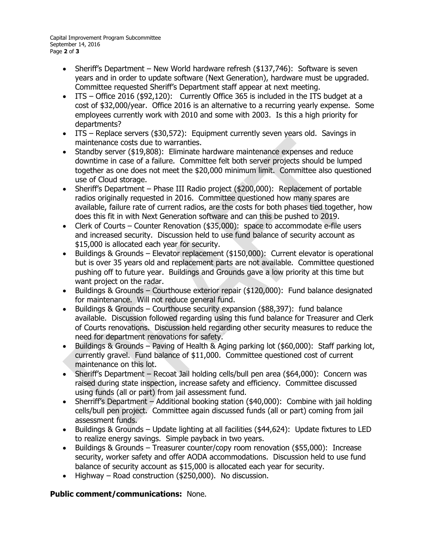- Sheriff's Department New World hardware refresh (\$137,746): Software is seven years and in order to update software (Next Generation), hardware must be upgraded. Committee requested Sheriff's Department staff appear at next meeting.
- ITS Office 2016 (\$92,120): Currently Office 365 is included in the ITS budget at a cost of \$32,000/year. Office 2016 is an alternative to a recurring yearly expense. Some employees currently work with 2010 and some with 2003. Is this a high priority for departments?
- ITS Replace servers (\$30,572): Equipment currently seven years old. Savings in maintenance costs due to warranties.
- Standby server (\$19,808): Eliminate hardware maintenance expenses and reduce downtime in case of a failure. Committee felt both server projects should be lumped together as one does not meet the \$20,000 minimum limit. Committee also questioned use of Cloud storage.
- Sheriff's Department Phase III Radio project (\$200,000): Replacement of portable radios originally requested in 2016. Committee questioned how many spares are available, failure rate of current radios, are the costs for both phases tied together, how does this fit in with Next Generation software and can this be pushed to 2019.
- Clerk of Courts Counter Renovation (\$35,000): space to accommodate e-file users and increased security. Discussion held to use fund balance of security account as \$15,000 is allocated each year for security.
- Buildings & Grounds Elevator replacement (\$150,000): Current elevator is operational but is over 35 years old and replacement parts are not available. Committee questioned pushing off to future year. Buildings and Grounds gave a low priority at this time but want project on the radar.
- Buildings & Grounds Courthouse exterior repair (\$120,000): Fund balance designated for maintenance. Will not reduce general fund.
- Buildings & Grounds Courthouse security expansion (\$88,397): fund balance available. Discussion followed regarding using this fund balance for Treasurer and Clerk of Courts renovations. Discussion held regarding other security measures to reduce the need for department renovations for safety.
- Buildings & Grounds Paving of Health & Aging parking lot (\$60,000): Staff parking lot, currently gravel. Fund balance of \$11,000. Committee questioned cost of current maintenance on this lot.
- Sheriff's Department Recoat Jail holding cells/bull pen area (\$64,000): Concern was raised during state inspection, increase safety and efficiency. Committee discussed using funds (all or part) from jail assessment fund.
- Sherriff's Department Additional booking station (\$40,000): Combine with jail holding cells/bull pen project. Committee again discussed funds (all or part) coming from jail assessment funds.
- Buildings & Grounds Update lighting at all facilities (\$44,624): Update fixtures to LED to realize energy savings. Simple payback in two years.
- Buildings & Grounds Treasurer counter/copy room renovation (\$55,000): Increase security, worker safety and offer AODA accommodations. Discussion held to use fund balance of security account as \$15,000 is allocated each year for security.
- Highway Road construction (\$250,000). No discussion.

## **Public comment/communications:** None.